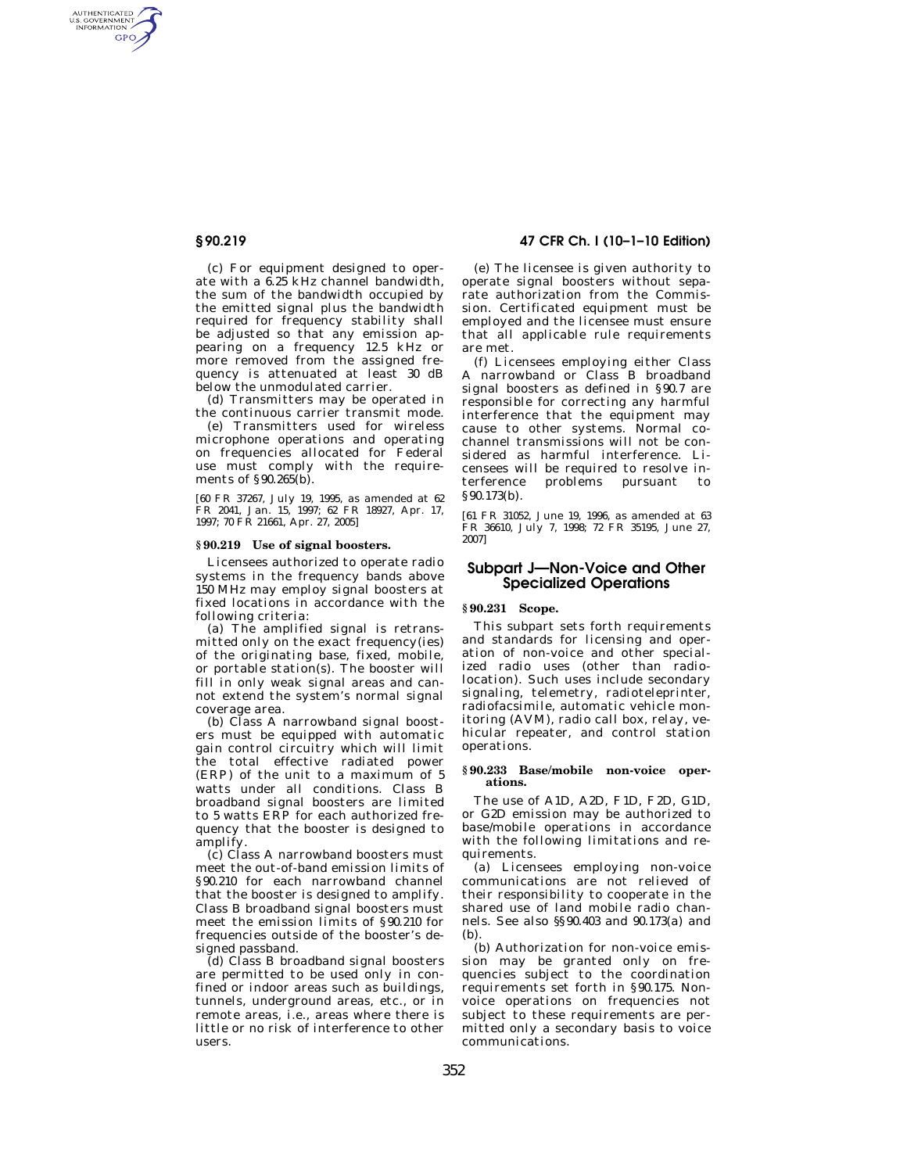AUTHENTICATED<br>U.S. GOVERNMENT<br>INFORMATION **GPO** 

> (c) For equipment designed to operate with a 6.25 kHz channel bandwidth, the sum of the bandwidth occupied by the emitted signal plus the bandwidth required for frequency stability shall be adjusted so that any emission appearing on a frequency 12.5 kHz or more removed from the assigned frequency is attenuated at least 30 dB below the unmodulated carrier.

(d) Transmitters may be operated in the continuous carrier transmit mode.

(e) Transmitters used for wireless microphone operations and operating on frequencies allocated for Federal use must comply with the requirements of §90.265(b).

[60 FR 37267, July 19, 1995, as amended at 62 FR 2041, Jan. 15, 1997; 62 FR 18927, Apr. 17, 1997; 70 FR 21661, Apr. 27, 2005]

#### **§ 90.219 Use of signal boosters.**

Licensees authorized to operate radio systems in the frequency bands above 150 MHz may employ signal boosters at fixed locations in accordance with the following criteria:

(a) The amplified signal is retransmitted only on the exact frequency(ies) of the originating base, fixed, mobile, or portable station(s). The booster will fill in only weak signal areas and cannot extend the system's normal signal coverage area.

(b) Class A narrowband signal boosters must be equipped with automatic gain control circuitry which will limit the total effective radiated power (ERP) of the unit to a maximum of 5 watts under all conditions. Class B broadband signal boosters are limited to 5 watts ERP for each authorized frequency that the booster is designed to amplify.

(c) Class A narrowband boosters must meet the out-of-band emission limits of §90.210 for each narrowband channel that the booster is designed to amplify. Class B broadband signal boosters must meet the emission limits of §90.210 for frequencies outside of the booster's designed passband.

(d) Class B broadband signal boosters are permitted to be used only in confined or indoor areas such as buildings, tunnels, underground areas, etc., or in remote areas, i.e., areas where there is little or no risk of interference to other users.

## **§ 90.219 47 CFR Ch. I (10–1–10 Edition)**

(e) The licensee is given authority to operate signal boosters without separate authorization from the Commission. Certificated equipment must be employed and the licensee must ensure that all applicable rule requirements are met.

(f) Licensees employing either Class A narrowband or Class B broadband signal boosters as defined in §90.7 are responsible for correcting any harmful interference that the equipment may cause to other systems. Normal cochannel transmissions will not be considered as harmful interference. Licensees will be required to resolve interference problems pursuant to §90.173(b).

[61 FR 31052, June 19, 1996, as amended at 63 FR 36610, July 7, 1998; 72 FR 35195, June 27, 2007]

# **Subpart J—Non-Voice and Other Specialized Operations**

## **§ 90.231 Scope.**

This subpart sets forth requirements and standards for licensing and operation of non-voice and other specialized radio uses (other than radiolocation). Such uses include secondary signaling, telemetry, radioteleprinter, radiofacsimile, automatic vehicle monitoring (AVM), radio call box, relay, vehicular repeater, and control station operations.

### **§ 90.233 Base/mobile non-voice operations.**

The use of A1D, A2D, F1D, F2D, G1D, or G2D emission may be authorized to base/mobile operations in accordance with the following limitations and requirements.

(a) Licensees employing non-voice communications are not relieved of their responsibility to cooperate in the shared use of land mobile radio channels. See also §§90.403 and 90.173(a) and (b).

(b) Authorization for non-voice emission may be granted only on frequencies subject to the coordination requirements set forth in §90.175. Nonvoice operations on frequencies not subject to these requirements are permitted only a secondary basis to voice communications.